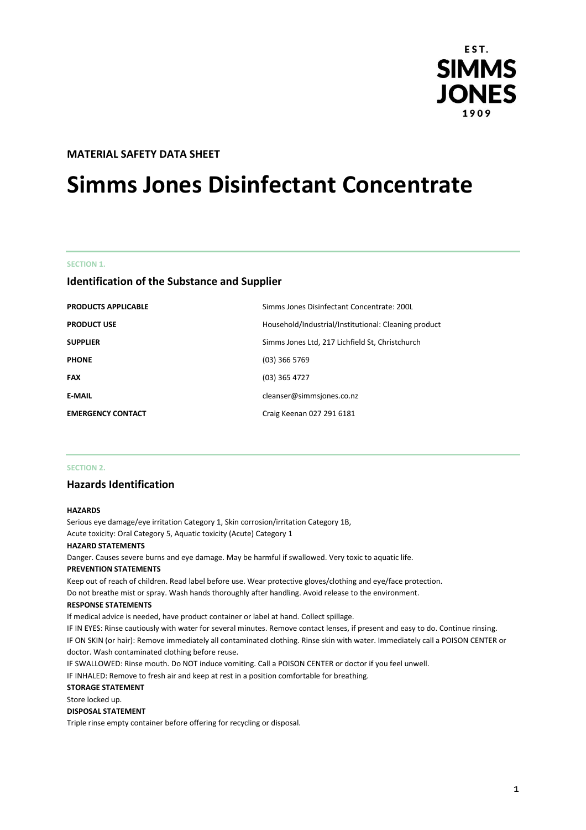

# **MATERIAL SAFETY DATA SHEET**

# **Simms Jones Disinfectant Concentrate**

#### **SECTION 1.**

# **Identification of the Substance and Supplier**

| <b>PRODUCTS APPLICABLE</b> | Simms Jones Disinfectant Concentrate: 200L           |
|----------------------------|------------------------------------------------------|
| <b>PRODUCT USE</b>         | Household/Industrial/Institutional: Cleaning product |
| <b>SUPPLIER</b>            | Simms Jones Ltd, 217 Lichfield St, Christchurch      |
| <b>PHONE</b>               | $(03)$ 366 5769                                      |
| <b>FAX</b>                 | $(03)$ 365 4727                                      |
| <b>E-MAIL</b>              | cleanser@simmsjones.co.nz                            |
| <b>EMERGENCY CONTACT</b>   | Craig Keenan 027 291 6181                            |

### **SECTION 2.**

# **Hazards Identification**

#### **HAZARDS**

Serious eye damage/eye irritation Category 1, Skin corrosion/irritation Category 1B, Acute toxicity: Oral Category 5, Aquatic toxicity (Acute) Category 1 **HAZARD STATEMENTS** Danger. Causes severe burns and eye damage. May be harmful if swallowed. Very toxic to aquatic life.

#### **PREVENTION STATEMENTS**

Keep out of reach of children. Read label before use. Wear protective gloves/clothing and eye/face protection. Do not breathe mist or spray. Wash hands thoroughly after handling. Avoid release to the environment.

#### **RESPONSE STATEMENTS**

If medical advice is needed, have product container or label at hand. Collect spillage.

IF IN EYES: Rinse cautiously with water for several minutes. Remove contact lenses, if present and easy to do. Continue rinsing. IF ON SKIN (or hair): Remove immediately all contaminated clothing. Rinse skin with water. Immediately call a POISON CENTER or doctor. Wash contaminated clothing before reuse.

IF SWALLOWED: Rinse mouth. Do NOT induce vomiting. Call a POISON CENTER or doctor if you feel unwell.

IF INHALED: Remove to fresh air and keep at rest in a position comfortable for breathing.

#### **STORAGE STATEMENT**

Store locked up.

## **DISPOSAL STATEMENT**

Triple rinse empty container before offering for recycling or disposal.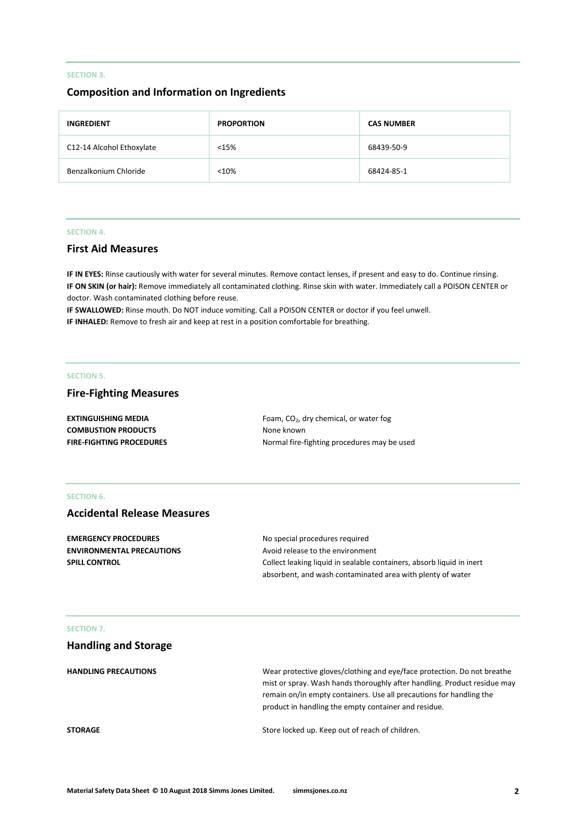## **SECTION 3.**

# **Composition and Information on Ingredients**

| <b>INGREDIENT</b>         | <b>PROPORTION</b> | <b>CAS NUMBER</b> |
|---------------------------|-------------------|-------------------|
| C12-14 Alcohol Ethoxylate | <15%              | 68439-50-9        |
| Benzalkonium Chloride     | < 10%             | 68424-85-1        |

## **SECTION 4.**

# **First Aid Measures**

**IF IN EYES:** Rinse cautiously with water for several minutes. Remove contact lenses, if present and easy to do. Continue rinsing. **IF ON SKIN (or hair):** Remove immediately all contaminated clothing. Rinse skin with water. Immediately call a POISON CENTER or doctor. Wash contaminated clothing before reuse.

**IF SWALLOWED:** Rinse mouth. Do NOT induce vomiting. Call a POISON CENTER or doctor if you feel unwell. **IF INHALED:** Remove to fresh air and keep at rest in a position comfortable for breathing.

#### **SECTION 5.**

# **Fire-Fighting Measures**

| <b>EXTINGUISHING MEDIA</b>      | Foam, $CO2$ , dry chemical, or water fog    |
|---------------------------------|---------------------------------------------|
| <b>COMBUSTION PRODUCTS</b>      | None known                                  |
| <b>FIRE-FIGHTING PROCEDURES</b> | Normal fire-fighting procedures may be used |

# **SECTION 6.**

# **Accidental Release Measures**

| <b>EMERGENCY PROCEDURES</b>      | No special procedures required                                        |
|----------------------------------|-----------------------------------------------------------------------|
| <b>ENVIRONMENTAL PRECAUTIONS</b> | Avoid release to the environment                                      |
| <b>SPILL CONTROL</b>             | Collect leaking liquid in sealable containers, absorb liquid in inert |
|                                  | absorbent, and wash contaminated area with plenty of water            |

## **SECTION 7.**

| <b>Handling and Storage</b> |                                                                                                                                                                                                                                                                                    |
|-----------------------------|------------------------------------------------------------------------------------------------------------------------------------------------------------------------------------------------------------------------------------------------------------------------------------|
| <b>HANDLING PRECAUTIONS</b> | Wear protective gloves/clothing and eye/face protection. Do not breathe<br>mist or spray. Wash hands thoroughly after handling. Product residue may<br>remain on/in empty containers. Use all precautions for handling the<br>product in handling the empty container and residue. |
| <b>STORAGE</b>              | Store locked up. Keep out of reach of children.                                                                                                                                                                                                                                    |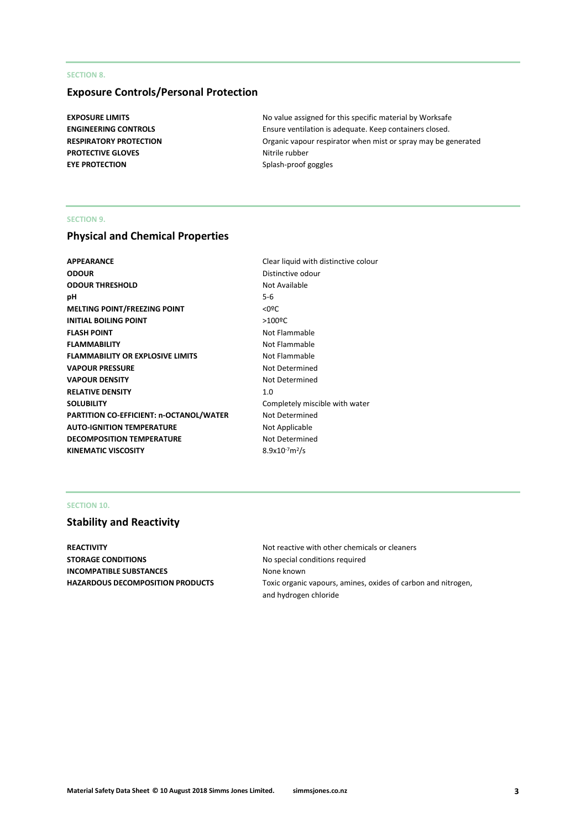# **SECTION 8.**

# **Exposure Controls/Personal Protection**

**PROTECTIVE GLOVES** Nitrile rubber **EYE PROTECTION** Splash-proof goggles

**EXPOSURE LIMITS EXPOSURE LIMITS No value assigned for this specific material by Worksafe ENGINEERING CONTROLS** Ensure ventilation is adequate. Keep containers closed. **RESPIRATORY PROTECTION Critic in the SPIRATORY PROTECTION Organic vapour respirator when mist or spray may be generated** 

## **SECTION 9.**

# **Physical and Chemical Properties**

| APPEARANCE                              | Clear liquid v         |
|-----------------------------------------|------------------------|
| <b>ODOUR</b>                            | Distinctive or         |
| <b>ODOUR THRESHOLD</b>                  | Not Available          |
| pН                                      | $5-6$                  |
| <b>MELTING POINT/FREEZING POINT</b>     | $<$ 0 <sup>o</sup> $<$ |
| <b>INITIAL BOILING POINT</b>            | $>100$ <sup>o</sup> C  |
| <b>FLASH POINT</b>                      | Not Flammal            |
| <b>FLAMMABILITY</b>                     | Not Flammal            |
| <b>FLAMMABILITY OR EXPLOSIVE LIMITS</b> | Not Flammal            |
| <b>VAPOUR PRESSURE</b>                  | Not Determi            |
| <b>VAPOUR DENSITY</b>                   | Not Determi            |
| <b>RELATIVE DENSITY</b>                 | 1.0                    |
| <b>SOLUBILITY</b>                       | Completely r           |
| PARTITION CO-EFFICIENT: n-OCTANOL/WATER | Not Determi            |
| <b>AUTO-IGNITION TEMPERATURE</b>        | Not Applicab           |
| <b>DECOMPOSITION TEMPERATURE</b>        | Not Determi            |
| KINEMATIC VISCOSITY                     | $8.9x10^{-7}m^2/s$     |
|                                         |                        |

**APPEARANCE** Clear liquid with distinctive colour **Distinctive odour Not Available Not Flammable Not Flammable Not Flammable Not Determined Not Determined** Completely miscible with water **Not Determined Not Applicable Not Determined** 

# **SECTION 10.**

# **Stability and Reactivity**

**STORAGE CONDITIONS** No special conditions required **INCOMPATIBLE SUBSTANCES** None known

**REACTIVITY REACTIVITY Not reactive with other chemicals or cleaners HAZARDOUS DECOMPOSITION PRODUCTS** Toxic organic vapours, amines, oxides of carbon and nitrogen, and hydrogen chloride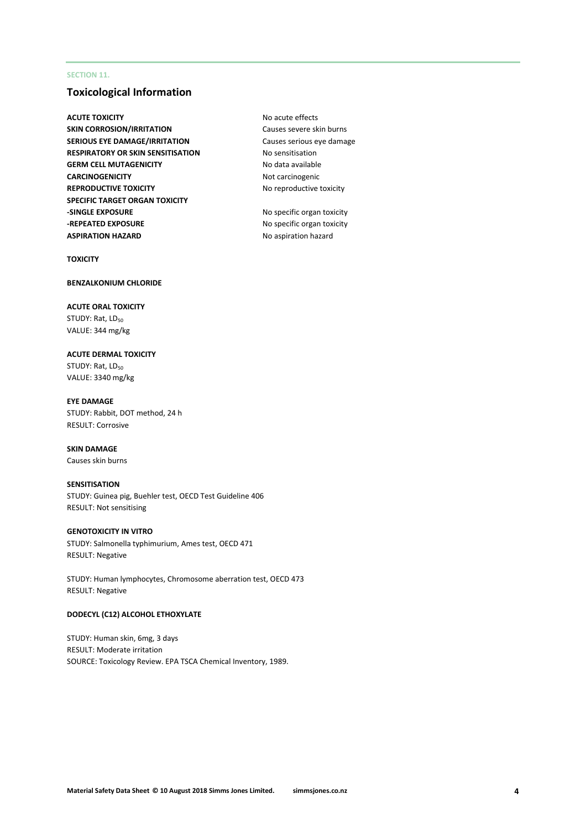# **SECTION 11.**

# **Toxicological Information**

**ACUTE TOXICITY** ACUTE **NO ACUTE TOXICITY SKIN CORROSION/IRRITATION** Causes severe skin burns **SERIOUS EYE DAMAGE/IRRITATION** Causes serious eye damage **RESPIRATORY OR SKIN SENSITISATION** No sensitisation **GERM CELL MUTAGENICITY** No data available **CARCINOGENICITY** Not carcinogenic **REPRODUCTIVE TOXICITY** No reproductive toxicity **SPECIFIC TARGET ORGAN TOXICITY -SINGLE EXPOSURE** No specific organ toxicity **-REPEATED EXPOSURE** No specific organ toxicity **ASPIRATION HAZARD** No aspiration hazard

**TOXICITY**

## **BENZALKONIUM CHLORIDE**

**ACUTE ORAL TOXICITY** STUDY: Rat, LD<sub>50</sub> VALUE: 344 mg/kg

**ACUTE DERMAL TOXICITY** STUDY: Rat, LD<sub>50</sub> VALUE: 3340 mg/kg

**EYE DAMAGE** STUDY: Rabbit, DOT method, 24 h RESULT: Corrosive

## **SKIN DAMAGE** Causes skin burns

# **SENSITISATION**

STUDY: Guinea pig, Buehler test, OECD Test Guideline 406 RESULT: Not sensitising

## **GENOTOXICITY IN VITRO**

STUDY: Salmonella typhimurium, Ames test, OECD 471 RESULT: Negative

STUDY: Human lymphocytes, Chromosome aberration test, OECD 473 RESULT: Negative

#### **DODECYL (C12) ALCOHOL ETHOXYLATE**

STUDY: Human skin, 6mg, 3 days RESULT: Moderate irritation SOURCE: Toxicology Review. EPA TSCA Chemical Inventory, 1989.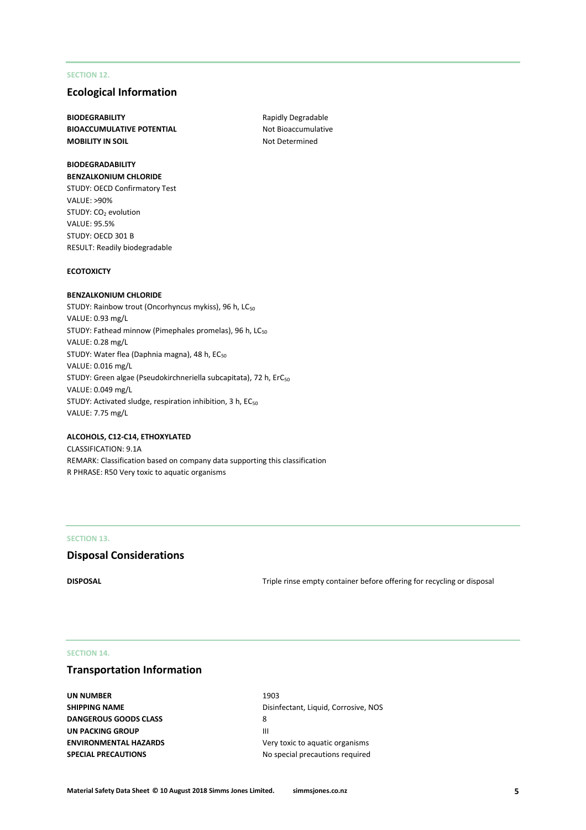# **SECTION 12.**

# **Ecological Information**

**BIODEGRABILITY** Rapidly Degradable **BIOACCUMULATIVE POTENTIAL** Not Bioaccumulative **MOBILITY IN SOIL** MOBILITY IN SOIL

## **BIODEGRADABILITY BENZALKONIUM CHLORIDE**

STUDY: OECD Confirmatory Test VALUE: >90% STUDY: CO<sub>2</sub> evolution VALUE: 95.5% STUDY: OECD 301 B RESULT: Readily biodegradable

## **ECOTOXICTY**

## **BENZALKONIUM CHLORIDE**

STUDY: Rainbow trout (Oncorhyncus mykiss), 96 h, LC<sub>50</sub> VALUE: 0.93 mg/L STUDY: Fathead minnow (Pimephales promelas), 96 h, LC<sub>50</sub> VALUE: 0.28 mg/L STUDY: Water flea (Daphnia magna), 48 h, EC<sub>50</sub> VALUE: 0.016 mg/L STUDY: Green algae (Pseudokirchneriella subcapitata), 72 h, ErC<sub>50</sub> VALUE: 0.049 mg/L STUDY: Activated sludge, respiration inhibition, 3 h, EC<sub>50</sub> VALUE: 7.75 mg/L

## **ALCOHOLS, C12-C14, ETHOXYLATED**

CLASSIFICATION: 9.1A REMARK: Classification based on company data supporting this classification R PHRASE: R50 Very toxic to aquatic organisms

#### **SECTION 13.**

# **Disposal Considerations**

**DISPOSAL** DISPOSAL **DISPOSAL Triple rinse empty container before offering for recycling or disposal** 

## **SECTION 14.**

# **Transportation Information**

**UN NUMBER** 1903 **DANGEROUS GOODS CLASS** 8 **UN PACKING GROUP AND IN THE REAL PROPERTY OF A REAL PROPERTY OF A REAL PROPERTY OF A REAL PROPERTY OF A REAL PROPERTY SPECIAL PRECAUTIONS** No special precautions required

**SHIPPING NAME** Disinfectant, Liquid, Corrosive, NOS **ENVIRONMENTAL HAZARDS** Very toxic to aquatic organisms